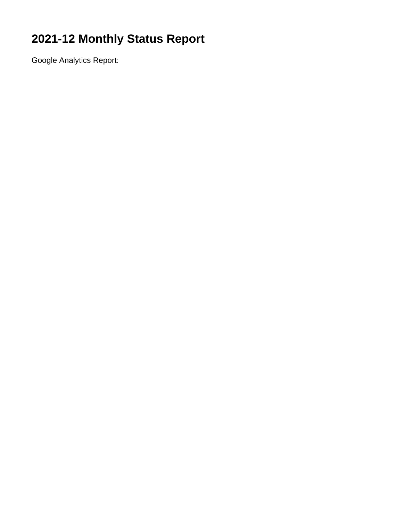# **2021-12 Monthly Status Report**

Google Analytics Report: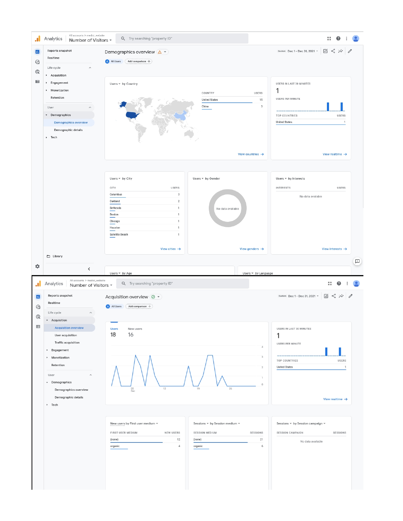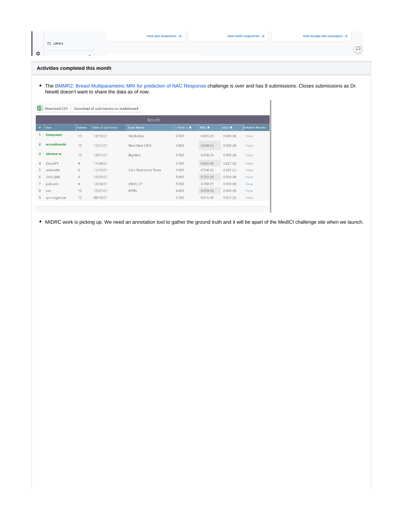|         | View user acquisition $\rightarrow$ | View traffic acquisition $\rightarrow$ | View Google Ads campaigns $\rightarrow$ |  |
|---------|-------------------------------------|----------------------------------------|-----------------------------------------|--|
| Library |                                     |                                        |                                         |  |
|         |                                     |                                        |                                         |  |

## **Activities completed this month**

The [BMMR2: Breast Multiparametric MRI for prediction of NAC Response](https://qin-challenge-acrin.centralus.cloudapp.azure.com/competitions/2) challenge is over and has 8 submissions. Closes submissions as Dr. Newitt doesn't want to share the data as of now.

| ×≣ | Download CSV   |                | Download all submissions on leaderboard |                      |                                      |          |          |                         |
|----|----------------|----------------|-----------------------------------------|----------------------|--------------------------------------|----------|----------|-------------------------|
|    | <b>Results</b> |                |                                         |                      |                                      |          |          |                         |
| #  | <b>User</b>    | <b>Entries</b> | Date of Last Entry                      | <b>Team Name</b>     | $\langle$ Rank $\rangle$ $\triangle$ | AUC A    | wCV ▲    | <b>Detailed Results</b> |
|    | tmearnest      | 10             | 12/13/21                                | SimBioSys            | 2.500                                | 0.893(1) | 0.000(4) | View                    |
| 2  | wmankowski     | 10             | 12/21/21                                | PennMed CBIG         | 3.000                                | 0.840(2) | 0.000(4) | View                    |
| з  | simona-rc      | 10             | 12/21/21                                | BigMed               | 3.500                                | 0.838(3) | 0.000(4) | View                    |
| 4  | OscarPV        | 4              | 11/24/21                                |                      | 3.500                                | 0.803(4) | 0.027(3) | View                    |
| 5  | vivixinzhi     | 6              | 11/13/21                                | Cai's Radiomics Team | 3.000                                | 0.746(5) | 0.665(1) | View                    |
| 6  | JHU_QIN        | 6              | 12/22/21                                |                      | 5.000                                | 0.733(6) | 0.000(4) | View                    |
| 7  | jcdicarlo      | 4              | 12/24/21                                | OMG UT               | 5.500                                | 0.700(7) | 0.000(4) | View                    |
| 8  | ran            | 10             | 12/21/21                                | <b>MRRL</b>          | 6.000                                | 0.659(8) | 0.000(4) | View                    |
| 9  | gin-organizer  | 12             | 08/10/21                                |                      | 5.500                                | 0.615(9) | 0.053(2) | View                    |
|    |                |                |                                         |                      |                                      |          |          |                         |

MIDRC work is picking up. We need an annotation tool to gather the ground truth and it will be apart of the MedICI challenge site when we launch.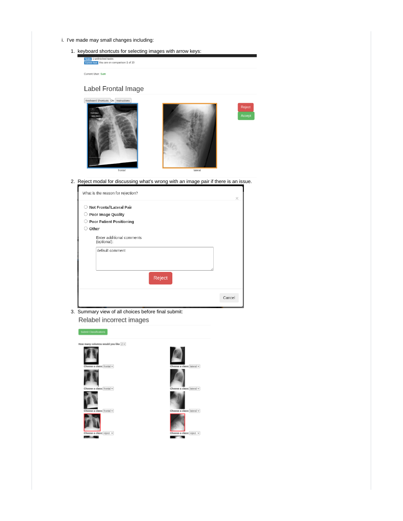- i. I've made may small changes including:
	- 1. keyboard shortcuts for selecting images with arrow keys:

|                   | <b>Tasks</b> 1 unfinished tasks            |
|-------------------|--------------------------------------------|
|                   | Current Task You are on comparison 1 of 10 |
|                   |                                            |
|                   |                                            |
| Current User: Sam |                                            |

# Label Frontal Image



2. Reject modal for discussing what's wrong with an image pair if there is an issue.

| ∩ | Not Frontal\Lateral Pair                 |  |
|---|------------------------------------------|--|
|   | $\circlearrowright$ Poor Image Quality   |  |
| 0 | <b>Poor Patient Positioning</b>          |  |
| ∩ | Other                                    |  |
|   | Enter additional comments<br>(optional): |  |
|   | default comment                          |  |
|   |                                          |  |
|   |                                          |  |
|   | Reject                                   |  |
|   |                                          |  |
|   |                                          |  |

3. Summary view of all choices before final submit:Relabel incorrect images